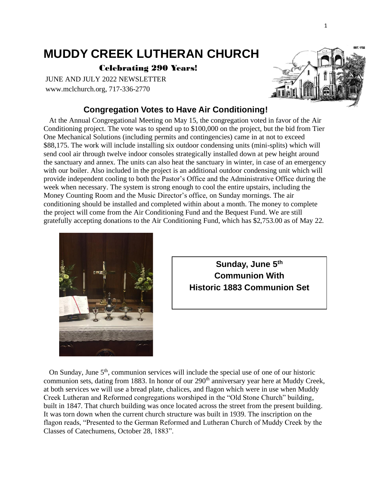# **MUDDY CREEK LUTHERAN CHURCH**

Celebrating 290 Years!

JUNE AND JULY 2022 NEWSLETTER www.mclchurch.org, 717-336-2770

# **Congregation Votes to Have Air Conditioning!**

 At the Annual Congregational Meeting on May 15, the congregation voted in favor of the Air Conditioning project. The vote was to spend up to \$100,000 on the project, but the bid from Tier One Mechanical Solutions (including permits and contingencies) came in at not to exceed \$88,175. The work will include installing six outdoor condensing units (mini-splits) which will send cool air through twelve indoor consoles strategically installed down at pew height around the sanctuary and annex. The units can also heat the sanctuary in winter, in case of an emergency with our boiler. Also included in the project is an additional outdoor condensing unit which will provide independent cooling to both the Pastor's Office and the Administrative Office during the week when necessary. The system is strong enough to cool the entire upstairs, including the Money Counting Room and the Music Director's office, on Sunday mornings. The air conditioning should be installed and completed within about a month. The money to complete the project will come from the Air Conditioning Fund and the Bequest Fund. We are still gratefully accepting donations to the Air Conditioning Fund, which has \$2,753.00 as of May 22.





On Sunday, June  $5<sup>th</sup>$ , communion services will include the special use of one of our historic communion sets, dating from 1883. In honor of our 290<sup>th</sup> anniversary year here at Muddy Creek, at both services we will use a bread plate, chalices, and flagon which were in use when Muddy Creek Lutheran and Reformed congregations worshiped in the "Old Stone Church" building, built in 1847. That church building was once located across the street from the present building. It was torn down when the current church structure was built in 1939. The inscription on the flagon reads, "Presented to the German Reformed and Lutheran Church of Muddy Creek by the Classes of Catechumens, October 28, 1883".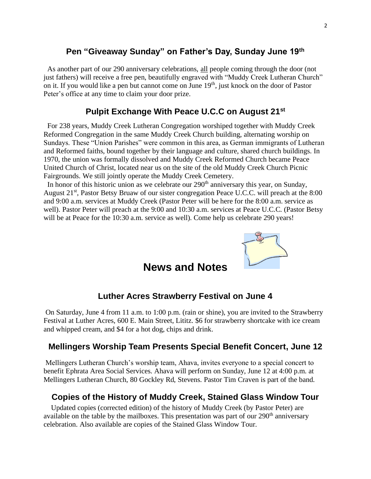# **Pen "Giveaway Sunday" on Father's Day, Sunday June 19th**

As another part of our 290 anniversary celebrations, all people coming through the door (not just fathers) will receive a free pen, beautifully engraved with "Muddy Creek Lutheran Church" on it. If you would like a pen but cannot come on June 19<sup>th</sup>, just knock on the door of Pastor Peter's office at any time to claim your door prize.

# **Pulpit Exchange With Peace U.C.C on August 21st**

For 238 years, Muddy Creek Lutheran Congregation worshiped together with Muddy Creek Reformed Congregation in the same Muddy Creek Church building, alternating worship on Sundays. These "Union Parishes" were common in this area, as German immigrants of Lutheran and Reformed faiths, bound together by their language and culture, shared church buildings. In 1970, the union was formally dissolved and Muddy Creek Reformed Church became Peace United Church of Christ, located near us on the site of the old Muddy Creek Church Picnic Fairgrounds. We still jointly operate the Muddy Creek Cemetery.

In honor of this historic union as we celebrate our  $290<sup>th</sup>$  anniversary this year, on Sunday, August 21<sup>st</sup>, Pastor Betsy Bruaw of our sister congregation Peace U.C.C. will preach at the 8:00 and 9:00 a.m. services at Muddy Creek (Pastor Peter will be here for the 8:00 a.m. service as well). Pastor Peter will preach at the 9:00 and 10:30 a.m. services at Peace U.C.C. (Pastor Betsy will be at Peace for the 10:30 a.m. service as well). Come help us celebrate 290 years!



# **News and Notes**

#### **Luther Acres Strawberry Festival on June 4**

On Saturday, June 4 from 11 a.m. to 1:00 p.m. (rain or shine), you are invited to the Strawberry Festival at Luther Acres, 600 E. Main Street, Lititz. \$6 for strawberry shortcake with ice cream and whipped cream, and \$4 for a hot dog, chips and drink.

#### **Mellingers Worship Team Presents Special Benefit Concert, June 12**

Mellingers Lutheran Church's worship team, Ahava, invites everyone to a special concert to benefit Ephrata Area Social Services. Ahava will perform on Sunday, June 12 at 4:00 p.m. at Mellingers Lutheran Church, 80 Gockley Rd, Stevens. Pastor Tim Craven is part of the band.

## **Copies of the History of Muddy Creek, Stained Glass Window Tour**

 Updated copies (corrected edition) of the history of Muddy Creek (by Pastor Peter) are available on the table by the mailboxes. This presentation was part of our  $290<sup>th</sup>$  anniversary celebration. Also available are copies of the Stained Glass Window Tour.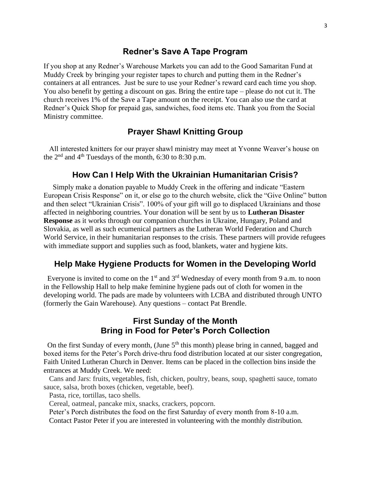#### **Redner's Save A Tape Program**

If you shop at any Redner's Warehouse Markets you can add to the Good Samaritan Fund at Muddy Creek by bringing your register tapes to church and putting them in the Redner's containers at all entrances. Just be sure to use your Redner's reward card each time you shop. You also benefit by getting a discount on gas. Bring the entire tape – please do not cut it. The church receives 1% of the Save a Tape amount on the receipt. You can also use the card at Redner's Quick Shop for prepaid gas, sandwiches, food items etc. Thank you from the Social Ministry committee.

# **Prayer Shawl Knitting Group**

 All interested knitters for our prayer shawl ministry may meet at Yvonne Weaver's house on the  $2<sup>nd</sup>$  and  $4<sup>th</sup>$  Tuesdays of the month, 6:30 to 8:30 p.m.

#### **How Can I Help With the Ukrainian Humanitarian Crisis?**

 Simply make a donation payable to Muddy Creek in the offering and indicate "Eastern European Crisis Response" on it, or else go to the church website, click the "Give Online" button and then select "Ukrainian Crisis". 100% of your gift will go to displaced Ukrainians and those affected in neighboring countries. Your donation will be sent by us to **Lutheran Disaster Response** as it works through our companion churches in Ukraine, Hungary, Poland and Slovakia, as well as such ecumenical partners as the Lutheran World Federation and Church World Service, in their humanitarian responses to the crisis. These partners will provide refugees with immediate support and supplies such as food, blankets, water and hygiene kits.

#### **Help Make Hygiene Products for Women in the Developing World**

Everyone is invited to come on the  $1<sup>st</sup>$  and  $3<sup>rd</sup>$  Wednesday of every month from 9 a.m. to noon in the Fellowship Hall to help make feminine hygiene pads out of cloth for women in the developing world. The pads are made by volunteers with LCBA and distributed through UNTO (formerly the Gain Warehouse). Any questions – contact Pat Brendle.

# **First Sunday of the Month Bring in Food for Peter's Porch Collection**

On the first Sunday of every month, (June  $5<sup>th</sup>$  this month) please bring in canned, bagged and boxed items for the Peter's Porch drive-thru food distribution located at our sister congregation, Faith United Lutheran Church in Denver. Items can be placed in the collection bins inside the entrances at Muddy Creek. We need:

 Cans and Jars: fruits, vegetables, fish, chicken, poultry, beans, soup, spaghetti sauce, tomato sauce, salsa, broth boxes (chicken, vegetable, beef).

Pasta, rice, tortillas, taco shells.

Cereal, oatmeal, pancake mix, snacks, crackers, popcorn.

 Peter's Porch distributes the food on the first Saturday of every month from 8-10 a.m. Contact Pastor Peter if you are interested in volunteering with the monthly distribution.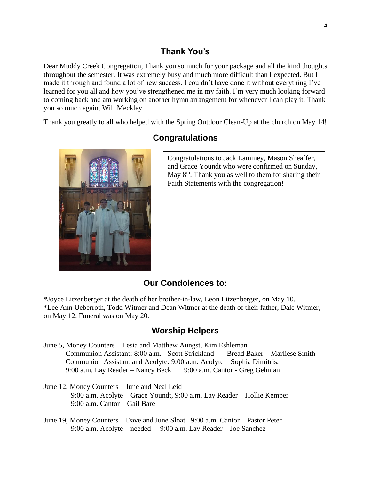## **Thank You's**

Dear Muddy Creek Congregation, Thank you so much for your package and all the kind thoughts throughout the semester. It was extremely busy and much more difficult than I expected. But I made it through and found a lot of new success. I couldn't have done it without everything I've learned for you all and how you've strengthened me in my faith. I'm very much looking forward to coming back and am working on another hymn arrangement for whenever I can play it. Thank you so much again, Will Meckley

Thank you greatly to all who helped with the Spring Outdoor Clean-Up at the church on May 14!



# **Congratulations**

Congratulations to Jack Lammey, Mason Sheaffer, and Grace Youndt who were confirmed on Sunday, May  $8<sup>th</sup>$ . Thank you as well to them for sharing their Faith Statements with the congregation!

#### **Our Condolences to:**

\*Joyce Litzenberger at the death of her brother-in-law, Leon Litzenberger, on May 10. \*Lee Ann Ueberroth, Todd Witmer and Dean Witmer at the death of their father, Dale Witmer, on May 12. Funeral was on May 20.

#### **Worship Helpers**

June 5, Money Counters – Lesia and Matthew Aungst, Kim Eshleman Communion Assistant: 8:00 a.m. - Scott Strickland Bread Baker – Marliese Smith Communion Assistant and Acolyte: 9:00 a.m. Acolyte – Sophia Dimitris, 9:00 a.m. Lay Reader – Nancy Beck 9:00 a.m. Cantor - Greg Gehman

- June 12, Money Counters June and Neal Leid 9:00 a.m. Acolyte – Grace Youndt, 9:00 a.m. Lay Reader – Hollie Kemper 9:00 a.m. Cantor – Gail Bare
- June 19, Money Counters Dave and June Sloat 9:00 a.m. Cantor Pastor Peter 9:00 a.m. Acolyte – needed 9:00 a.m. Lay Reader – Joe Sanchez